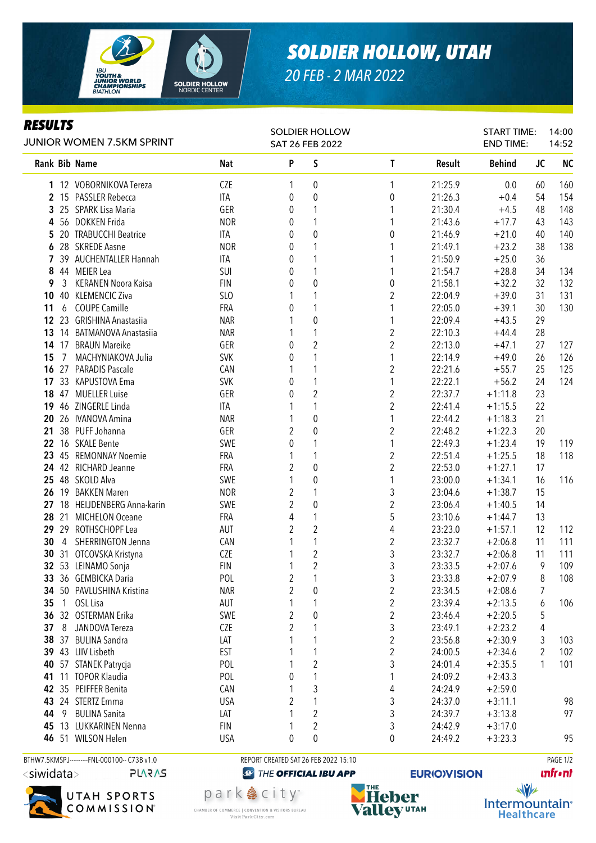

## *SOLDIER HOLLOW, UTAH*

*20 FEB - 2 MAR 2022*

## *RESULTS*

| ILLJVLI J          | <b>JUNIOR WOMEN 7.5KM SPRINT</b>      |            | <b>SOLDIER HOLLOW</b><br>SAT 26 FEB 2022 |                                  |                         |         | <b>START TIME:</b><br><b>END TIME:</b> |           | 14:00<br>14:52 |  |
|--------------------|---------------------------------------|------------|------------------------------------------|----------------------------------|-------------------------|---------|----------------------------------------|-----------|----------------|--|
| Rank Bib Name      |                                       | Nat        | P                                        | $\sf S$                          | $\mathsf{T}$            | Result  | <b>Behind</b>                          | <b>JC</b> | <b>NC</b>      |  |
|                    | 1 12 VOBORNIKOVA Tereza               | <b>CZE</b> | 1                                        | 0                                | 1                       | 21:25.9 | 0.0                                    | 60        | 160            |  |
|                    | 2 15 PASSLER Rebecca                  | ITA        | 0                                        | $\boldsymbol{0}$                 | 0                       | 21:26.3 | $+0.4$                                 | 54        | 154            |  |
|                    | 3 25 SPARK Lisa Maria                 | GER        | 0                                        | 1                                |                         | 21:30.4 | $+4.5$                                 | 48        | 148            |  |
| 4                  | 56 DOKKEN Frida                       | <b>NOR</b> | 0                                        | 1                                | 1                       | 21:43.6 | $+17.7$                                | 43        | 143            |  |
| 5                  | 20 TRABUCCHI Beatrice                 | ITA        | 0                                        | $\boldsymbol{0}$                 | 0                       | 21:46.9 | $+21.0$                                | 40        | 140            |  |
| 6                  | 28 SKREDE Aasne                       | <b>NOR</b> | 0                                        |                                  |                         | 21:49.1 | $+23.2$                                | 38        | 138            |  |
|                    | 7 39 AUCHENTALLER Hannah              | ITA        | 0                                        |                                  |                         | 21:50.9 | $+25.0$                                | 36        |                |  |
| 8                  | 44 MEIER Lea                          | SUI        | 0                                        |                                  |                         | 21:54.7 | $+28.8$                                | 34        | 134            |  |
| 3<br>9             | <b>KERANEN Noora Kaisa</b>            | <b>FIN</b> | 0                                        | $\mathbf 0$                      | 0                       | 21:58.1 | $+32.2$                                | 32        | 132            |  |
| 40<br>10           | <b>KLEMENCIC Ziva</b>                 | SLO        |                                          |                                  | $\overline{c}$          | 22:04.9 | $+39.0$                                | 31        | 131            |  |
| 11<br>6            | <b>COUPE Camille</b>                  | FRA        | 0                                        |                                  | 1                       | 22:05.0 | $+39.1$                                | 30        | 130            |  |
| 23<br>$12 \,$      | <b>GRISHINA Anastasiia</b>            | <b>NAR</b> |                                          | $\boldsymbol{0}$                 | 1                       | 22:09.4 | $+43.5$                                | 29        |                |  |
| 13                 | 14 BATMANOVA Anastasiia               | <b>NAR</b> |                                          | 1                                | $\overline{c}$          | 22:10.3 | $+44.4$                                | 28        |                |  |
|                    | 14 17 BRAUN Mareike                   | GER        | 0                                        | $\overline{c}$                   | $\overline{c}$          | 22:13.0 | $+47.1$                                | 27        | 127            |  |
| 15<br>7            | MACHYNIAKOVA Julia                    | <b>SVK</b> | 0                                        | 1                                | 1                       | 22:14.9 | $+49.0$                                | 26        | 126            |  |
|                    | 16 27 PARADIS Pascale                 | CAN        | 1                                        | 1                                | $\overline{c}$          | 22:21.6 | $+55.7$                                | 25        | 125            |  |
|                    | 17 33 KAPUSTOVA Ema                   | <b>SVK</b> | 0                                        |                                  | 1                       | 22:22.1 | $+56.2$                                | 24        | 124            |  |
|                    | 18 47 MUELLER Luise                   | GER        | 0                                        | 2                                | $\boldsymbol{2}$        | 22:37.7 | $+1:11.8$                              | 23        |                |  |
|                    | 19 46 ZINGERLE Linda                  | ITA        |                                          |                                  | $\overline{2}$          | 22:41.4 | $+1:15.5$                              | 22        |                |  |
| 20                 | 26 IVANOVA Amina                      | <b>NAR</b> |                                          | $\boldsymbol{0}$                 |                         | 22:44.2 | $+1:18.3$                              | 21        |                |  |
| 21                 | 38 PUFF Johanna                       | GER        | $\overline{2}$                           | 0                                | $\overline{\mathbf{c}}$ | 22:48.2 | $+1:22.3$                              | 20        |                |  |
| 22                 | 16 SKALE Bente                        | SWE        | 0                                        |                                  |                         | 22:49.3 | $+1:23.4$                              | 19        | 119            |  |
| 23                 | 45 REMONNAY Noemie                    | FRA        |                                          | 1                                | $\overline{\mathbf{c}}$ | 22:51.4 | $+1:25.5$                              | 18        | 118            |  |
|                    | 24 42 RICHARD Jeanne                  | FRA        | $\overline{2}$                           | 0                                | $\overline{c}$          | 22:53.0 | $+1:27.1$                              | 17        |                |  |
| 25 48 SKOLD Alva   |                                       | SWE        | 1                                        | 0                                | 1                       | 23:00.0 | $+1:34.1$                              | 16        | 116            |  |
|                    | 26 19 BAKKEN Maren                    | <b>NOR</b> | 2                                        |                                  | 3                       | 23:04.6 | $+1:38.7$                              | 15        |                |  |
|                    | 27 18 HEIJDENBERG Anna-karin          | SWE        | $\overline{2}$                           | $\boldsymbol{0}$                 | $\overline{c}$          | 23:06.4 | $+1:40.5$                              | 14        |                |  |
|                    | 28 21 MICHELON Oceane                 | FRA        | 4                                        | 1                                | 5                       | 23:10.6 | $+1:44.7$                              | 13        |                |  |
|                    | 29 29 ROTHSCHOPF Lea                  | AUT        | $\overline{2}$                           | $\overline{c}$                   | 4                       | 23:23.0 | $+1:57.1$                              | 12        | 112            |  |
| 30                 | 4 SHERRINGTON Jenna                   | CAN        |                                          | 1                                | $\boldsymbol{2}$        | 23:32.7 | $+2:06.8$                              | 11        | 111            |  |
|                    | 30 31 OTCOVSKA Kristyna               | <b>CZE</b> |                                          | $\overline{c}$                   | 3                       | 23:32.7 | $+2:06.8$                              | 11        | 111            |  |
|                    | 32 53 LEINAMO Sonja                   | <b>FIN</b> | 1                                        | $\overline{c}$<br>$\overline{ }$ | 3                       | 23:33.5 | $+2:07.6$                              | 9         | 109            |  |
|                    | 33 36 GEMBICKA Daria                  | POL        | $\overline{2}$                           |                                  | 3                       | 23:33.8 | $+2:07.9$                              | $\,8\,$   | 108            |  |
| 34                 | 50 PAVLUSHINA Kristina                | <b>NAR</b> | $\overline{2}$                           | 0                                | $\overline{\mathbf{c}}$ | 23:34.5 | $+2:08.6$                              | 7         |                |  |
| 35<br>1            | OSL Lisa                              | AUT        | 1                                        | 1                                | $\overline{c}$          | 23:39.4 | $+2:13.5$                              | 6         | 106            |  |
| 36<br>32           | <b>OSTERMAN Erika</b>                 | SWE        | 2                                        | $\boldsymbol{0}$                 | $\overline{c}$          | 23:46.4 | $+2:20.5$                              | 5         |                |  |
| 37<br>8            | JANDOVA Tereza                        | CZE        | $\overline{2}$                           |                                  | 3                       | 23:49.1 | $+2:23.2$                              | 4         |                |  |
| 38<br>37           | <b>BULINA Sandra</b>                  | LAT        |                                          | 1                                | $\overline{\mathbf{c}}$ | 23:56.8 | $+2:30.9$                              | 3         | 103            |  |
| 39 43 LIIV Lisbeth |                                       | <b>EST</b> |                                          | 1                                | $\overline{\mathbf{c}}$ | 24:00.5 | $+2:34.6$                              | 2         | 102            |  |
| 40                 | 57 STANEK Patrycja                    | POL        |                                          | 2                                | 3                       | 24:01.4 | $+2:35.5$                              | 1         | 101            |  |
| 41                 | 11 TOPOR Klaudia<br>35 PEIFFER Benita | POL        | 0                                        |                                  | 1                       | 24:09.2 | $+2:43.3$                              |           |                |  |
| 42                 | 24 STERTZ Emma                        | CAN        | 1<br>$\overline{2}$                      | 3                                | 4                       | 24:24.9 | $+2:59.0$                              |           |                |  |
| 43                 |                                       | <b>USA</b> |                                          |                                  | 3                       | 24:37.0 | $+3:11.1$                              |           | 98             |  |
| 44<br>9            | <b>BULINA Sanita</b>                  | LAT        | 1                                        | 2                                | 3                       | 24:39.7 | $+3:13.8$                              |           | 97             |  |
| 45                 | 13 LUKKARINEN Nenna                   | <b>FIN</b> | 1                                        | 2                                | 3                       | 24:42.9 | $+3:17.0$                              |           |                |  |
|                    | 46 51 WILSON Helen                    | <b>USA</b> | 0                                        | 0                                | 0                       | 24:49.2 | $+3:23.3$                              |           | 95             |  |

BTHW7.5KMSPJ---------FNL-000100-- C73B v1.0 REPORT CREATED SAT 26 FEB 2022 15:10 PAGE 1/2



**PLARAS** 



park 急 city<sup>®</sup>

CHAMBER OF COMMERCE | CONVENTION & VISITORS BUREAU

Visit Park City.com

**@** THE OFFICIAL IBU APP



**EURIO)VISION** 

**unfront** 

 $\sqrt{v}$ Intermountain<sup>®</sup> **Healthcare**